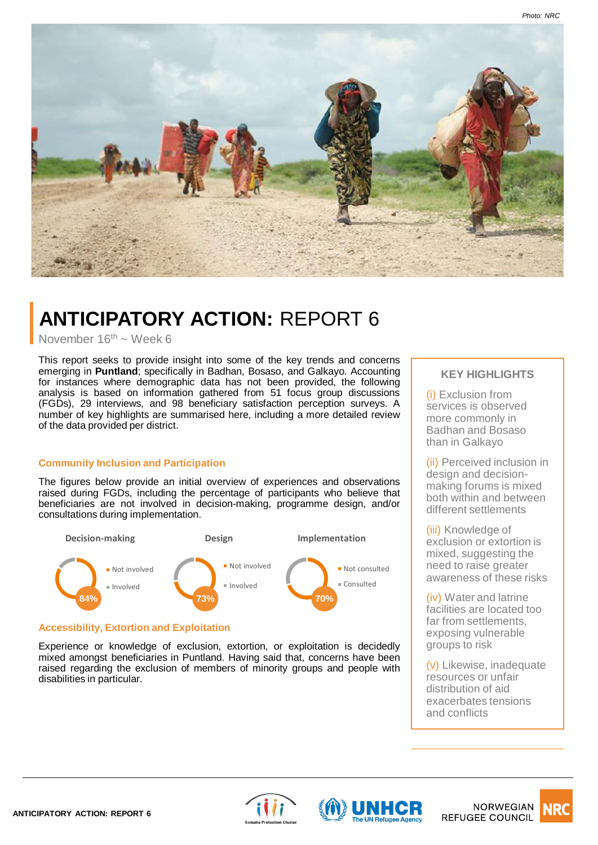



# **ANTICIPATORY ACTION:** REPORT 6

November  $16<sup>th</sup> \sim$  Week 6

This report seeks to provide insight into some of the key trends and concerns emerging in **Puntland**; specifically in Badhan, Bosaso, and Galkayo. Accounting for instances where demographic data has not been provided, the following analysis is based on information gathered from 51 focus group discussions (FGDs), 29 interviews, and 98 beneficiary satisfaction perception surveys. A number of key highlights are summarised here, including a more detailed review of the data provided per district.

## **Community Inclusion and Participation**

The figures below provide an initial overview of experiences and observations raised during FGDs, including the percentage of participants who believe that beneficiaries are not involved in decision-making, programme design, and/or consultations during implementation.



## **Accessibility, Extortion and Exploitation**

Experience or knowledge of exclusion, extortion, or exploitation is decidedly mixed amongst beneficiaries in Puntland. Having said that, concerns have been raised regarding the exclusion of members of minority groups and people with disabilities in particular.

# **KEY HIGHLIGHTS**

(i) Exclusion from services is observed more commonly in Badhan and Bosaso than in Galkayo

(ii) Perceived inclusion in design and decisionmaking forums is mixed both within and between different settlements

(iii) Knowledge of exclusion or extortion is mixed, suggesting the need to raise greater awareness of these risks

(iv) Water and latrine facilities are located too far from settlements, exposing vulnerable groups to risk

(v) Likewise, inadequate resources or unfair distribution of aid exacerbates tensions and conflicts